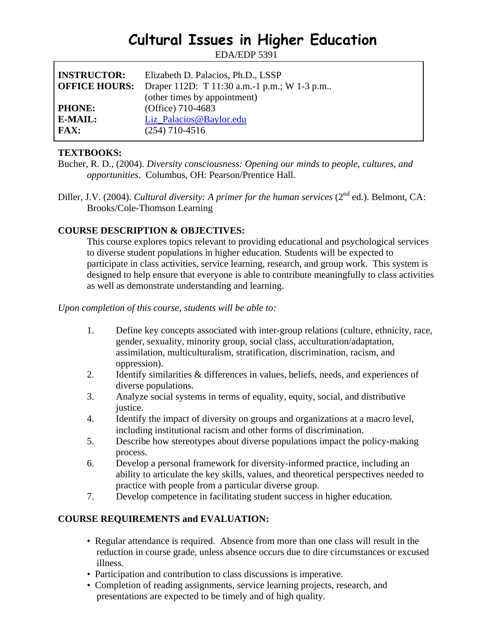# **Cultural Issues in Higher Education**

EDA/EDP 5391

| <b>INSTRUCTOR:</b><br><b>OFFICE HOURS:</b> | Elizabeth D. Palacios, Ph.D., LSSP<br>Draper 112D: T 11:30 a.m.-1 p.m.; W 1-3 p.m<br>(other times by appointment) |
|--------------------------------------------|-------------------------------------------------------------------------------------------------------------------|
| <b>PHONE:</b>                              | (Office) 710-4683                                                                                                 |
| E-MAIL:                                    | Liz_Palacios@Baylor.edu                                                                                           |
| FAX:                                       | $(254)$ 710-4516                                                                                                  |

### **TEXTBOOKS:**

- Bucher, R. D., (2004). *Diversity consciousness: Opening our minds to people, cultures, and opportunities*. Columbus, OH: Pearson/Prentice Hall.
- Diller, J.V. (2004). *Cultural diversity: A primer for the human services* (2<sup>nd</sup> ed.). Belmont, CA: Brooks/Cole-Thomson Learning

## **COURSE DESCRIPTION & OBJECTIVES:**

This course explores topics relevant to providing educational and psychological services to diverse student populations in higher education. Students will be expected to participate in class activities, service learning, research, and group work. This system is designed to help ensure that everyone is able to contribute meaningfully to class activities as well as demonstrate understanding and learning.

*Upon completion of this course, students will be able to:* 

- 1. Define key concepts associated with inter-group relations (culture, ethnicity, race, gender, sexuality, minority group, social class, acculturation/adaptation, assimilation, multiculturalism, stratification, discrimination, racism, and oppression).
- 2. Identify similarities & differences in values, beliefs, needs, and experiences of diverse populations.
- 3. Analyze social systems in terms of equality, equity, social, and distributive justice.
- 4. Identify the impact of diversity on groups and organizations at a macro level, including institutional racism and other forms of discrimination.
- 5. Describe how stereotypes about diverse populations impact the policy-making process.
- 6. Develop a personal framework for diversity-informed practice, including an ability to articulate the key skills, values, and theoretical perspectives needed to practice with people from a particular diverse group.
- 7. Develop competence in facilitating student success in higher education.

## **COURSE REQUIREMENTS and EVALUATION:**

- Regular attendance is required. Absence from more than one class will result in the reduction in course grade, unless absence occurs due to dire circumstances or excused illness.
- Participation and contribution to class discussions is imperative.
- Completion of reading assignments, service learning projects, research, and presentations are expected to be timely and of high quality.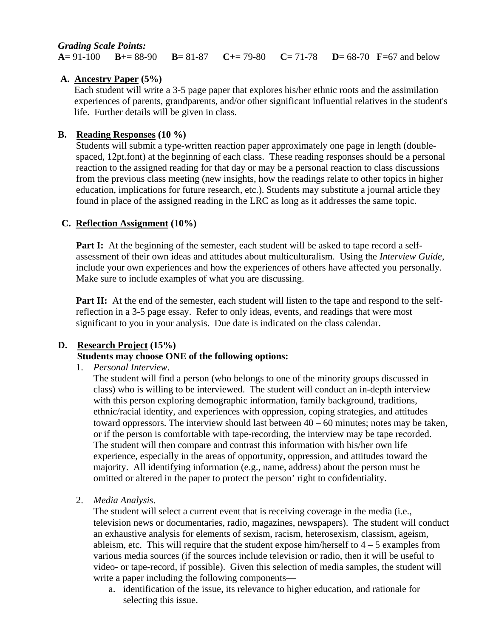#### *Grading Scale Points:*

**A**= 91-100 **B+**= 88-90 **B**= 81-87 **C+**= 79-80 **C**= 71-78 **D**= 68-70 **F**=67 and below

### **A. Ancestry Paper (5%)**

Each student will write a 3-5 page paper that explores his/her ethnic roots and the assimilation experiences of parents, grandparents, and/or other significant influential relatives in the student's life. Further details will be given in class.

#### **B. Reading Responses (10 %)**

Students will submit a type-written reaction paper approximately one page in length (doublespaced, 12pt.font) at the beginning of each class. These reading responses should be a personal reaction to the assigned reading for that day or may be a personal reaction to class discussions from the previous class meeting (new insights, how the readings relate to other topics in higher education, implications for future research, etc.). Students may substitute a journal article they found in place of the assigned reading in the LRC as long as it addresses the same topic.

### **C. Reflection Assignment (10%)**

**Part I:** At the beginning of the semester, each student will be asked to tape record a selfassessment of their own ideas and attitudes about multiculturalism. Using the *Interview Guide*, include your own experiences and how the experiences of others have affected you personally. Make sure to include examples of what you are discussing.

**Part II:** At the end of the semester, each student will listen to the tape and respond to the selfreflection in a 3-5 page essay. Refer to only ideas, events, and readings that were most significant to you in your analysis. Due date is indicated on the class calendar.

## **D. Research Project (15%)**

#### **Students may choose ONE of the following options:**

1. *Personal Interview*.

 The student will find a person (who belongs to one of the minority groups discussed in class) who is willing to be interviewed. The student will conduct an in-depth interview with this person exploring demographic information, family background, traditions, ethnic/racial identity, and experiences with oppression, coping strategies, and attitudes toward oppressors. The interview should last between 40 – 60 minutes; notes may be taken, or if the person is comfortable with tape-recording, the interview may be tape recorded. The student will then compare and contrast this information with his/her own life experience, especially in the areas of opportunity, oppression, and attitudes toward the majority. All identifying information (e.g., name, address) about the person must be omitted or altered in the paper to protect the person' right to confidentiality.

2. *Media Analysis*.

 The student will select a current event that is receiving coverage in the media (i.e., television news or documentaries, radio, magazines, newspapers). The student will conduct an exhaustive analysis for elements of sexism, racism, heterosexism, classism, ageism, ableism, etc. This will require that the student expose him/herself to  $4 - 5$  examples from various media sources (if the sources include television or radio, then it will be useful to video- or tape-record, if possible). Given this selection of media samples, the student will write a paper including the following components—

 a. identification of the issue, its relevance to higher education, and rationale for selecting this issue.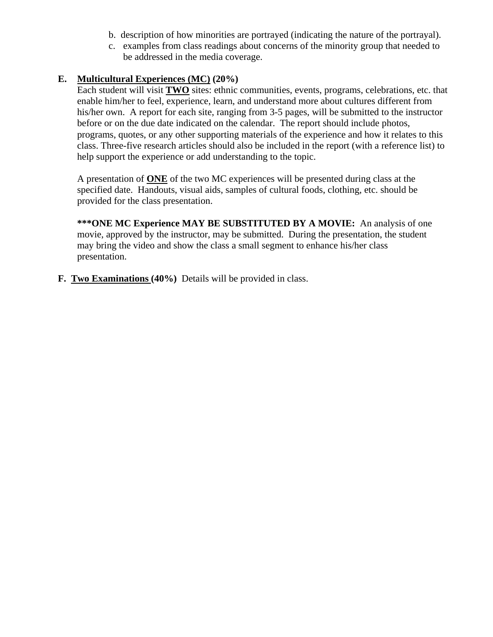- b. description of how minorities are portrayed (indicating the nature of the portrayal).
- c. examples from class readings about concerns of the minority group that needed to be addressed in the media coverage.

## **E. Multicultural Experiences (MC) (20%)**

 Each student will visit **TWO** sites: ethnic communities, events, programs, celebrations, etc. that enable him/her to feel, experience, learn, and understand more about cultures different from his/her own. A report for each site, ranging from 3-5 pages, will be submitted to the instructor before or on the due date indicated on the calendar. The report should include photos, programs, quotes, or any other supporting materials of the experience and how it relates to this class. Three-five research articles should also be included in the report (with a reference list) to help support the experience or add understanding to the topic.

 A presentation of **ONE** of the two MC experiences will be presented during class at the specified date. Handouts, visual aids, samples of cultural foods, clothing, etc. should be provided for the class presentation.

**\*\*\*ONE MC Experience MAY BE SUBSTITUTED BY A MOVIE:** An analysis of one movie, approved by the instructor, may be submitted. During the presentation, the student may bring the video and show the class a small segment to enhance his/her class presentation.

**F. Two Examinations (40%)** Details will be provided in class.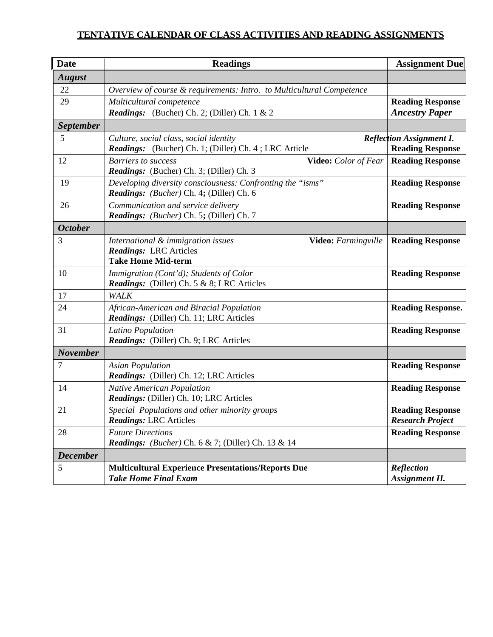# **TENTATIVE CALENDAR OF CLASS ACTIVITIES AND READING ASSIGNMENTS**

| <b>Date</b>      | <b>Readings</b>                                                                                                         | <b>Assignment Due</b>                                      |
|------------------|-------------------------------------------------------------------------------------------------------------------------|------------------------------------------------------------|
| <b>August</b>    |                                                                                                                         |                                                            |
| 22               | Overview of course & requirements: Intro. to Multicultural Competence                                                   |                                                            |
| 29               | Multicultural competence<br><b>Readings:</b> (Bucher) Ch. 2; (Diller) Ch. 1 & 2                                         | <b>Reading Response</b><br><b>Ancestry Paper</b>           |
| <b>September</b> |                                                                                                                         |                                                            |
| 5                | Culture, social class, social identity<br>Readings: (Bucher) Ch. 1; (Diller) Ch. 4; LRC Article                         | <b>Reflection Assignment I.</b><br><b>Reading Response</b> |
| 12               | <b>Barriers to success</b><br>Video: Color of Fear<br>Readings: (Bucher) Ch. 3; (Diller) Ch. 3                          | <b>Reading Response</b>                                    |
| 19               | Developing diversity consciousness: Confronting the "isms"<br>Readings: (Bucher) Ch. 4; (Diller) Ch. 6                  | <b>Reading Response</b>                                    |
| 26               | Communication and service delivery<br>Readings: (Bucher) Ch. 5; (Diller) Ch. 7                                          | <b>Reading Response</b>                                    |
| <b>October</b>   |                                                                                                                         |                                                            |
| 3                | International & immigration issues<br>Video: Farmingville<br><b>Readings: LRC Articles</b><br><b>Take Home Mid-term</b> | <b>Reading Response</b>                                    |
| 10               | Immigration (Cont'd); Students of Color<br><b>Readings:</b> (Diller) Ch. 5 & 8; LRC Articles                            | <b>Reading Response</b>                                    |
| 17               | WALK                                                                                                                    |                                                            |
| 24               | African-American and Biracial Population<br>Readings: (Diller) Ch. 11; LRC Articles                                     | <b>Reading Response.</b>                                   |
| 31               | Latino Population<br>Readings: (Diller) Ch. 9; LRC Articles                                                             | <b>Reading Response</b>                                    |
| <b>November</b>  |                                                                                                                         |                                                            |
| 7                | <b>Asian Population</b><br>Readings: (Diller) Ch. 12; LRC Articles                                                      | <b>Reading Response</b>                                    |
| 14               | <b>Native American Population</b><br>Readings: (Diller) Ch. 10; LRC Articles                                            | <b>Reading Response</b>                                    |
| 21               | Special Populations and other minority groups<br><b>Readings: LRC Articles</b>                                          | <b>Reading Response</b><br><b>Research Project</b>         |
| 28               | <b>Future Directions</b><br><i>Readings: (Bucher)</i> Ch. 6 & 7; (Diller) Ch. 13 & 14                                   | <b>Reading Response</b>                                    |
| <b>December</b>  |                                                                                                                         |                                                            |
| 5                | <b>Multicultural Experience Presentations/Reports Due</b><br><b>Take Home Final Exam</b>                                | Reflection<br><b>Assignment II.</b>                        |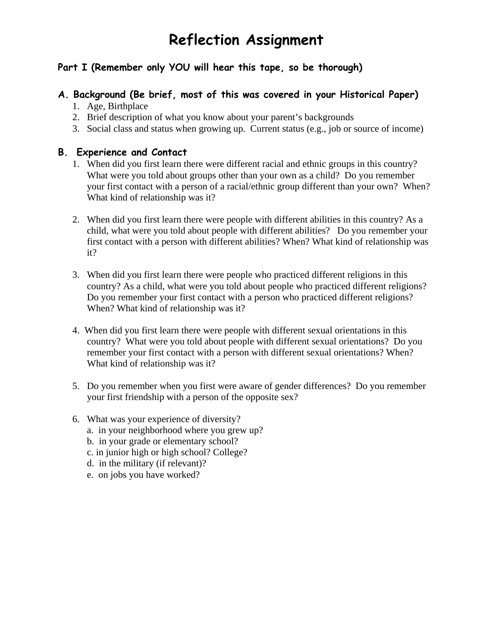# **Reflection Assignment**

# **Part I (Remember only YOU will hear this tape, so be thorough)**

# **A. Background (Be brief, most of this was covered in your Historical Paper)**

- 1. Age, Birthplace
- 2. Brief description of what you know about your parent's backgrounds
- 3. Social class and status when growing up. Current status (e.g., job or source of income)

#### **B. Experience and Contact**

- 1. When did you first learn there were different racial and ethnic groups in this country? What were you told about groups other than your own as a child? Do you remember your first contact with a person of a racial/ethnic group different than your own? When? What kind of relationship was it?
- 2. When did you first learn there were people with different abilities in this country? As a child, what were you told about people with different abilities? Do you remember your first contact with a person with different abilities? When? What kind of relationship was it?
- 3. When did you first learn there were people who practiced different religions in this country? As a child, what were you told about people who practiced different religions? Do you remember your first contact with a person who practiced different religions? When? What kind of relationship was it?
- 4. When did you first learn there were people with different sexual orientations in this country? What were you told about people with different sexual orientations? Do you remember your first contact with a person with different sexual orientations? When? What kind of relationship was it?
- 5. Do you remember when you first were aware of gender differences? Do you remember your first friendship with a person of the opposite sex?
- 6. What was your experience of diversity?
	- a. in your neighborhood where you grew up?
	- b. in your grade or elementary school?
	- c. in junior high or high school? College?
	- d. in the military (if relevant)?
	- e. on jobs you have worked?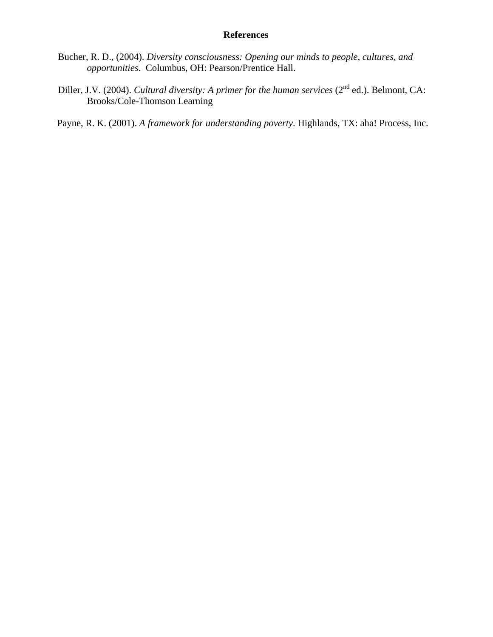### **References**

- Bucher, R. D., (2004). *Diversity consciousness: Opening our minds to people, cultures, and opportunities*. Columbus, OH: Pearson/Prentice Hall.
- Diller, J.V. (2004). *Cultural diversity: A primer for the human services* (2<sup>nd</sup> ed.). Belmont, CA: Brooks/Cole-Thomson Learning

Payne, R. K. (2001). *A framework for understanding poverty*. Highlands, TX: aha! Process, Inc.